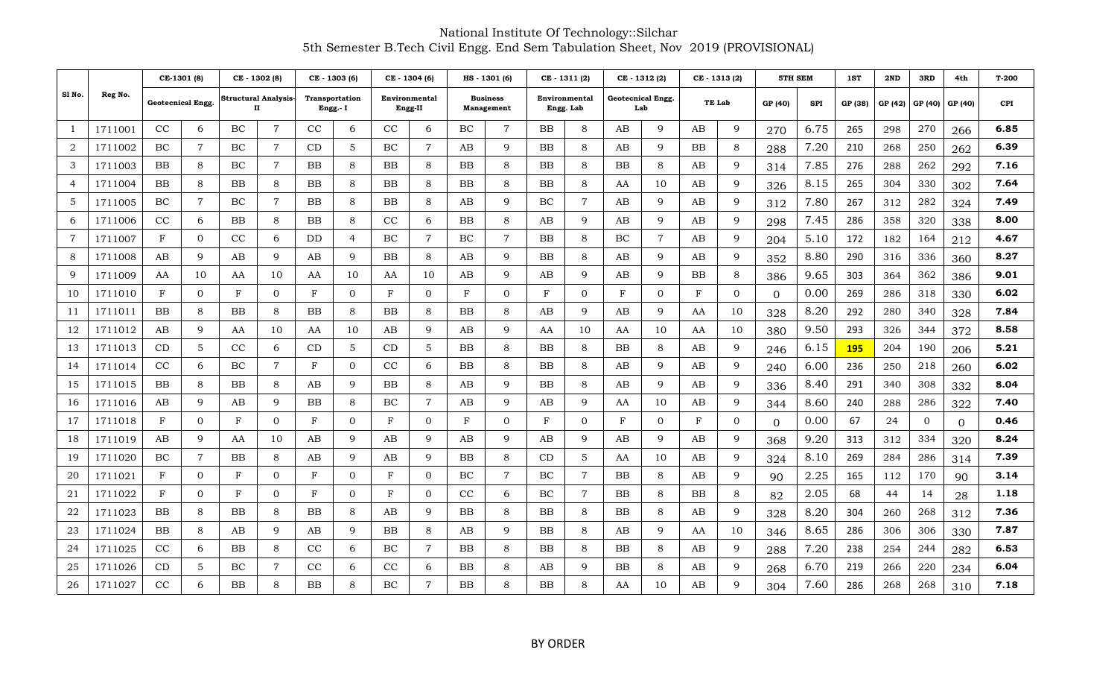|                |         |            | CE-1301 (8)       |          | CE - 1302 (8)            |            | CE - 1303 (6)                     |              | CE - 1304 (6)            |    | HS - 1301 (6)                 |              | CE-1311(2)                 | CE-1312(2) |                                 | CE - 1313 (2) |                | 5TH SEM  |      | 1ST        | 2ND     | 3RD            | 4th      | $T-200$    |
|----------------|---------|------------|-------------------|----------|--------------------------|------------|-----------------------------------|--------------|--------------------------|----|-------------------------------|--------------|----------------------------|------------|---------------------------------|---------------|----------------|----------|------|------------|---------|----------------|----------|------------|
| Sl No.         | Reg No. |            | Geotecnical Engg. |          | Structural Analysis<br>п |            | <b>Transportation</b><br>Engg.- I |              | Environmental<br>Engg-II |    | <b>Business</b><br>Management |              | Environmental<br>Engg. Lab |            | <b>Geotecnical Engg.</b><br>Lab |               | TE Lab         | GP (40)  | SPI  | GP (38)    | GP (42) | GP (40)        | GP (40)  | <b>CPI</b> |
| -1             | 1711001 | CC         | 6                 | $\rm BC$ | 7                        | CC         | 6                                 | CC           | 6                        | BC | 7                             | BB           | 8                          | AB         | 9                               | AB            | 9              | 270      | 6.75 | 265        | 298     | 270            | 266      | 6.85       |
| $\overline{2}$ | 1711002 | BC         | $\overline{7}$    | $\rm BC$ | $\overline{7}$           | CD         | .5                                | ВC           | $\overline{7}$           | AΒ | 9                             | BB           | 8                          | AВ         | 9                               | ΒB            | 8              | 288      | 7.20 | 210        | 268     | 250            | 262      | 6.39       |
| 3              | 1711003 | BB         | 8                 | $\rm BC$ | $\overline{7}$           | BB         | 8                                 | BB           | 8                        | BB | 8                             | BB           | 8                          | BB         | 8                               | AB            | 9              | 314      | 7.85 | 276        | 288     | 262            | 292      | 7.16       |
| 4              | 1711004 | BB.        | 8                 | ΒB       | 8                        | BB         | 8                                 | BB           | 8                        | ВB | 8                             | BB           | 8                          | AA         | 10                              | AB            | 9              | 326      | 8.15 | 265        | 304     | 330            | 302      | 7.64       |
| 5              | 1711005 | BC         | $\overline{7}$    | ВC       | $\tau$                   | ΒB         | 8                                 | BB           | 8                        | AΒ | 9                             | BC           | 7                          | AB         | 9                               | AB            | 9              | 312      | 7.80 | 267        | 312     | 282            | 324      | 7.49       |
| 6              | 1711006 | CC         | 6                 | ΒB       | 8                        | ΒB         | 8                                 | CC           | 6                        | BB | 8                             | AB           | 9                          | AB         | 9                               | AB            | 9              | 298      | 7.45 | 286        | 358     | 320            | 338      | 8.00       |
| $\overline{7}$ | 1711007 | $_{\rm F}$ | $\overline{0}$    | CC       | 6                        | DD         | 4                                 | BC           | $\overline{7}$           | BC | $\overline{7}$                | BB           | 8                          | BC         | $\overline{7}$                  | AB            | 9              | 204      | 5.10 | 172        | 182     | 164            | 212      | 4.67       |
| 8              | 1711008 | AB         | 9                 | AB       | 9                        | AВ         | 9                                 | BB           | 8                        | AΒ | 9                             | BB           | 8                          | AB         | 9                               | AB            | 9              | 352      | 8.80 | 290        | 316     | 336            | 360      | 8.27       |
| 9              | 1711009 | AA         | 10                | AA       | 10                       | AA         | 10                                | AA           | 10                       | AΒ | 9                             | AB           | 9                          | AB         | 9                               | BB            | 8              | 386      | 9.65 | 303        | 364     | 362            | 386      | 9.01       |
| 10             | 1711010 | $_{\rm F}$ | $\mathbf{0}$      | F        | $\mathbf{0}$             | F          | $\overline{0}$                    | $_{\rm F}$   | $\overline{0}$           | F  | $\overline{0}$                | $\mathbf{F}$ | $\overline{0}$             | $_{\rm F}$ | $\mathbf{0}$                    | F             | $\overline{0}$ | $\Omega$ | 0.00 | 269        | 286     | 318            | 330      | 6.02       |
| 11             | 1711011 | BB.        | 8                 | ΒB       | 8                        | BB         | 8                                 | BB           | 8                        | ΒB | 8                             | AB           | 9                          | AB         | 9                               | AA            | 10             | 328      | 8.20 | 292        | 280     | 340            | 328      | 7.84       |
| 12             | 1711012 | AB         | 9                 | AA       | 10                       | AA         | 10                                | AB           | 9                        | AВ | 9                             | AA           | 10                         | AA         | 10                              | AA            | 10             | 380      | 9.50 | 293        | 326     | 344            | 372      | 8.58       |
| 13             | 1711013 | CD         | 5                 | CC       | 6                        | CD         | 5                                 | CD           | 5                        | BB | 8                             | BB           | 8                          | BB         | 8                               | AB            | 9              | 246      | 6.15 | <b>195</b> | 204     | 190            | 206      | 5.21       |
| 14             | 1711014 | CC         | 6                 | BC       | $\overline{7}$           | F          | $\Omega$                          | CC           | 6                        | ΒB | 8                             | BB           | 8                          | AB         | 9                               | AB            | 9              | 240      | 6.00 | 236        | 250     | 218            | 260      | 6.02       |
| 15             | 1711015 | BB         | 8                 | ΒB       | 8                        | AВ         | 9                                 | BB           | 8                        | AВ | 9                             | BB           | 8                          | AВ         | 9                               | AB            | 9              | 336      | 8.40 | 291        | 340     | 308            | 332      | 8.04       |
| 16             | 1711016 | AB         | 9                 | AB       | 9                        | ΒB         | 8                                 | BC           | $\overline{7}$           | AB | 9                             | AB           | 9                          | AA         | 10                              | AB            | 9              | 344      | 8.60 | 240        | 288     | 286            | 322      | 7.40       |
| 17             | 1711018 | $_{\rm F}$ | $\overline{0}$    | F        | $\overline{0}$           | $_{\rm F}$ | $\mathbf{0}$                      | $_{\rm F}$   | $\overline{0}$           | F  | $\overline{0}$                | $_{\rm F}$   | $\overline{0}$             | F          | $\mathbf{0}$                    | F             | $\overline{0}$ | 0        | 0.00 | 67         | 24      | $\overline{0}$ | $\Omega$ | 0.46       |
| 18             | 1711019 | AB         | 9                 | AA       | 10                       | AВ         | 9                                 | AB           | 9                        | AВ | 9                             | AB           | 9                          | AB         | 9                               | AB            | 9              | 368      | 9.20 | 313        | 312     | 334            | 320      | 8.24       |
| 19             | 1711020 | BC         | 7                 | ΒB       | 8                        | AВ         | 9                                 | AΒ           | 9                        | ΒB | 8                             | CD           | 5                          | AA         | 10                              | AB            | 9              | 324      | 8.10 | 269        | 284     | 286            | 314      | 7.39       |
| 20             | 1711021 | $_{\rm F}$ | $\mathbf{0}$      | F        | $\mathbf{0}$             | F          | $\overline{0}$                    | $\mathbf{F}$ | $\mathbf{0}$             | BC | 7                             | BC           | $\overline{7}$             | BB         | 8                               | AB            | 9              | 90       | 2.25 | 165        | 112     | 170            | 90       | 3.14       |
| 21             | 1711022 | $_{\rm F}$ | $\overline{0}$    | F        | $\overline{0}$           | F          | $\overline{0}$                    | $_{\rm F}$   | $\overline{0}$           | CC | 6                             | BC           | $\overline{7}$             | BB         | 8                               | ΒB            | 8              | 82       | 2.05 | 68         | 44      | 14             | 28       | 1.18       |
| 22             | 1711023 | ΒB         | 8                 | ΒB       | 8                        | ΒB         | 8                                 | AΒ           | 9                        | BB | 8                             | BB           | 8                          | BB         | 8                               | AB            | 9              | 328      | 8.20 | 304        | 260     | 268            | 312      | 7.36       |
| 23             | 1711024 | BB         | 8                 | AB       | 9                        | AB         | 9                                 | BB           | 8                        | AB | 9                             | BB           | 8                          | AB         | 9                               | AA            | 10             | 346      | 8.65 | 286        | 306     | 306            | 330      | 7.87       |
| 24             | 1711025 | CC         | 6                 | ΒB       | 8                        | CC         | 6                                 | BC           | $\overline{7}$           | BB | 8                             | BB           | 8                          | BB         | 8                               | AB            | 9              | 288      | 7.20 | 238        | 254     | 244            | 282      | 6.53       |
| 25             | 1711026 | CD         | 5                 | $\rm BC$ | 7                        | CC         | 6                                 | $\rm CC$     | 6                        | ΒB | 8                             | AB           | 9                          | BB         | 8                               | AB            | 9              | 268      | 6.70 | 219        | 266     | 220            | 234      | 6.04       |
| 26             | 1711027 | CC         | 6                 | ΒB       | 8                        | ΒB         | 8                                 | ВC           | 7                        | BB | 8                             | <b>BB</b>    | 8                          | AA         | 10                              | AВ            | 9              | 304      | 7.60 | 286        | 268     | 268            | 310      | 7.18       |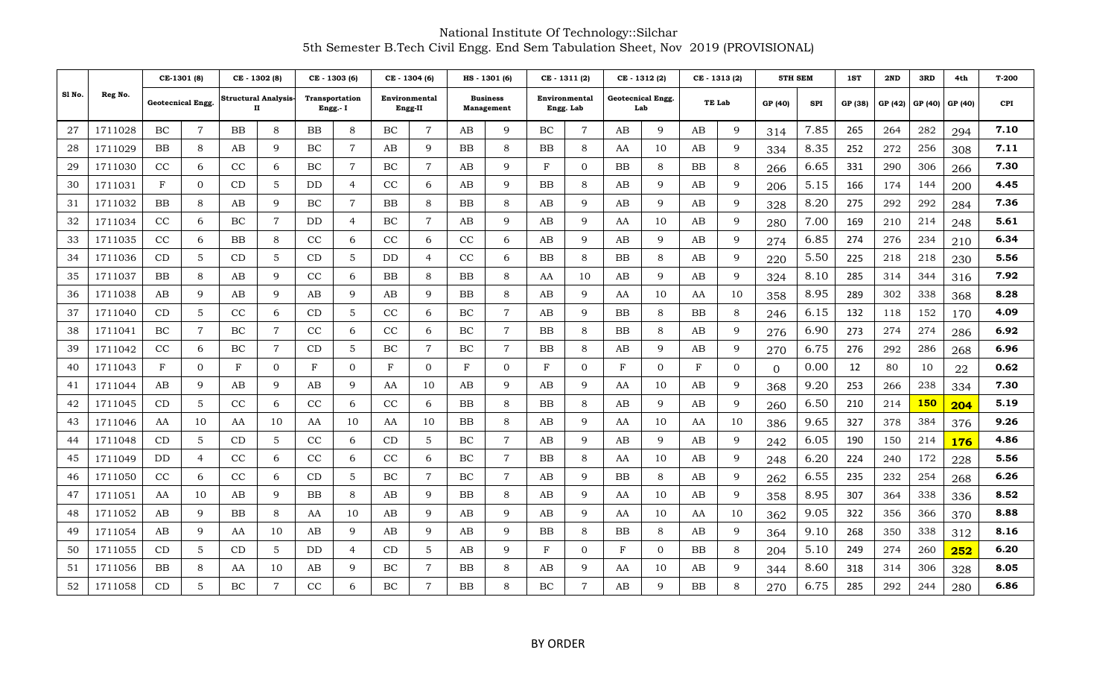|        |         |                   | CE-1301 (8)    |          | CE - 1302 (8)                    |                 | CE - 1303 (6)                     |    | CE - 1304 (6)            |           | HS - 1301 (6)                 |            | CE-1311(2)                 |           | CE-1312(2)               | CE - 1313 (2)          |        | 5TH SEM  |      | 1ST     | 2ND     | 3RD        | 4th        | T-200      |
|--------|---------|-------------------|----------------|----------|----------------------------------|-----------------|-----------------------------------|----|--------------------------|-----------|-------------------------------|------------|----------------------------|-----------|--------------------------|------------------------|--------|----------|------|---------|---------|------------|------------|------------|
| Sl No. | Reg No. | Geotecnical Engg. |                |          | <b>Structural Analysis-</b><br>п |                 | <b>Transportation</b><br>Engg.- I |    | Environmental<br>Engg-II |           | <b>Business</b><br>Management |            | Environmental<br>Engg. Lab |           | Geotecnical Engg.<br>Lab |                        | TE Lab | GP (40)  | SPI  | GP (38) | GP (42) | GP (40)    | GP (40)    | <b>CPI</b> |
| 27     | 1711028 | BC                | $\overline{7}$ | ΒB       | 8                                | BB              | 8                                 | BC | $\overline{7}$           | AВ        | 9                             | BC         | $\overline{7}$             | AB        | 9                        | AB                     | 9      | 314      | 7.85 | 265     | 264     | 282        | 294        | 7.10       |
| 28     | 1711029 | BB                | 8              | AВ       | $\mathbf{Q}$                     | BC              | 7                                 | AВ | 9                        | BB        | 8                             | BB         | 8                          | AA        | 10                       | AВ                     | 9      | 334      | 8.35 | 252     | 272     | 256        | 308        | 7.11       |
| 29     | 1711030 | cc                | 6              | CC       | 6                                | BC              | $\overline{7}$                    | BC | $\overline{7}$           | AB        | 9                             | $_{\rm F}$ | $\overline{0}$             | BB        | 8                        | ΒB                     | 8      | 266      | 6.65 | 331     | 290     | 306        | 266        | 7.30       |
| 30     | 1711031 | $_{\rm F}$        | $\overline{0}$ | CD       | 5                                | DD              | $\overline{4}$                    | CC | 6                        | AB        | 9                             | BB         | 8                          | AB        | 9                        | AВ                     | 9      | 206      | 5.15 | 166     | 174     | 144        | 200        | 4.45       |
| 31     | 1711032 | ΒB                | 8              | AВ       | 9                                | BC              | 7                                 | ΒB | 8                        | BB        | 8                             | AB         | 9                          | AВ        | 9                        | $\mathbf{A}\mathbf{B}$ | 9      | 328      | 8.20 | 275     | 292     | 292        | 284        | 7.36       |
| 32     | 1711034 | CC                | 6              | BC       | $\overline{7}$                   | DD              | $\overline{4}$                    | BC | $\overline{7}$           | AB        | 9                             | AB         | 9                          | AA        | 10                       | AВ                     | 9      | 280      | 7.00 | 169     | 210     | 214        | 248        | 5.61       |
| 33     | 1711035 | CC                | 6              | ΒB       | 8                                | CC              | 6                                 | CC | 6                        | CC        | 6                             | AB         | 9                          | AB        | 9                        | AВ                     | 9      | 274      | 6.85 | 274     | 276     | 234        | 210        | 6.34       |
| 34     | 1711036 | CD                | 5              | CD       | 5                                | CD              | 5                                 | DD | $\overline{4}$           | CC        | 6                             | BB         | 8                          | <b>BB</b> | 8                        | AB                     | 9      | 220      | 5.50 | 225     | 218     | 218        | 230        | 5.56       |
| 35     | 1711037 | BB                | 8              | AB       | 9                                | CC              | 6                                 | ΒB | 8                        | BB        | 8                             | AA         | 10                         | AB        | 9                        | AВ                     | 9      | 324      | 8.10 | 285     | 314     | 344        | 316        | 7.92       |
| 36     | 1711038 | AВ                | 9              | AB       | 9                                | AB              | 9                                 | AB | 9                        | BB        | 8                             | AB         | 9                          | AA        | 10                       | AA                     | 10     | 358      | 8.95 | 289     | 302     | 338        | 368        | 8.28       |
| 37     | 1711040 | CD                | 5              | CC       | 6                                | CD <sub>.</sub> | 5                                 | CC | 6                        | BC        | $\overline{7}$                | AB         | 9                          | BB        | 8                        | ΒB                     | 8      | 246      | 6.15 | 132     | 118     | 152        | 170        | 4.09       |
| 38     | 1711041 | BC                | $\overline{7}$ | ВC       | 7                                | CC              | 6                                 | CC | 6                        | BC        | 7                             | BB         | 8                          | <b>BB</b> | 8                        | AВ                     | 9      | 276      | 6.90 | 273     | 274     | 274        | 286        | 6.92       |
| 39     | 1711042 | CC                | 6              | BC       | $\overline{7}$                   | CD              | 5                                 | BC | $\overline{7}$           | BC        | $\overline{7}$                | BB         | 8                          | AB        | 9                        | AB                     | 9      | 270      | 6.75 | 276     | 292     | 286        | 268        | 6.96       |
| 40     | 1711043 | F                 | 0              | F        | $\overline{0}$                   | F               | $\mathbf{0}$                      | F  | $\overline{0}$           | F         | $\overline{0}$                | F          | $\overline{0}$             | F         | $\overline{0}$           | F                      | 0      | $\Omega$ | 0.00 | 12      | 80      | 10         | 22         | 0.62       |
| 41     | 1711044 | AВ                | 9              | AВ       | 9                                | AB              | 9                                 | AA | 10                       | AB        | 9                             | AB         | 9                          | AA        | 10                       | AВ                     | 9      | 368      | 9.20 | 253     | 266     | 238        | 334        | 7.30       |
| 42     | 1711045 | CD                | 5              | CC       | 6                                | CC              | 6                                 | CC | 6                        | <b>BB</b> | 8                             | BB         | 8                          | AB        | 9                        | AB                     | 9      | 260      | 6.50 | 210     | 214     | <b>150</b> | 204        | 5.19       |
| 43     | 1711046 | AA                | 10             | AA       | 10                               | AA              | 10                                | AA | 10                       | BB        | 8                             | AB         | 9                          | AA        | 10                       | AA                     | 10     | 386      | 9.65 | 327     | 378     | 384        | 376        | 9.26       |
| 44     | 1711048 | CD                | 5              | CD       | 5                                | CC              | 6                                 | CD | 5                        | BC        | $\overline{7}$                | AB         | 9                          | AB        | 9                        | AВ                     | 9      | 242      | 6.05 | 190     | 150     | 214        | <b>176</b> | 4.86       |
| 45     | 1711049 | DD.               | $\overline{4}$ | CC       | 6                                | CC              | 6                                 | CC | 6                        | BC        | $\overline{7}$                | BB         | 8                          | AA        | 10                       | AВ                     | 9      | 248      | 6.20 | 224     | 240     | 172        | 228        | 5.56       |
| 46     | 1711050 | CC                | 6              | $\rm CC$ | 6                                | CD              | 5                                 | BC | $\overline{7}$           | BC        | $\overline{7}$                | AB         | 9                          | BB        | 8                        | AВ                     | 9      | 262      | 6.55 | 235     | 232     | 254        | 268        | 6.26       |
| 47     | 1711051 | AA                | 10             | AB       | 9                                | <b>BB</b>       | 8                                 | AВ | 9                        | <b>BB</b> | 8                             | AB         | 9                          | AA        | 10                       | AB                     | 9      | 358      | 8.95 | 307     | 364     | 338        | 336        | 8.52       |
| 48     | 1711052 | AВ                | 9              | ВB       | 8                                | AA              | 10                                | AB | 9                        | AB        | 9                             | AB         | 9                          | AA        | 10                       | AA                     | 10     | 362      | 9.05 | 322     | 356     | 366        | 370        | 8.88       |
| 49     | 1711054 | AB                | 9              | AA       | 10                               | AB              | 9                                 | AВ | 9                        | AB        | 9                             | BB         | 8                          | ΒB        | 8                        | AВ                     | 9      | 364      | 9.10 | 268     | 350     | 338        | 312        | 8.16       |
| 50     | 1711055 | CD                | 5              | CD       | 5                                | DD              | $\overline{4}$                    | CD | 5                        | AB        | 9                             | F          | $\overline{0}$             | F         | $\Omega$                 | ΒB                     | 8      | 204      | 5.10 | 249     | 274     | 260        | 252        | 6.20       |
| 51     | 1711056 | ΒB                | 8              | AA       | 10                               | AB              | 9                                 | ВC | 7                        | BB        | 8                             | AB         | 9                          | AA        | 10                       | AВ                     | 9      | 344      | 8.60 | 318     | 314     | 306        | 328        | 8.05       |
| 52     | 1711058 | CD                | 5              | BC       | $\overline{7}$                   | CC              | 6                                 | BC | $\overline{7}$           | <b>BB</b> | 8                             | BC         | $\overline{7}$             | AB        | 9                        | BB                     | 8      | 270      | 6.75 | 285     | 292     | 244        | 280        | 6.86       |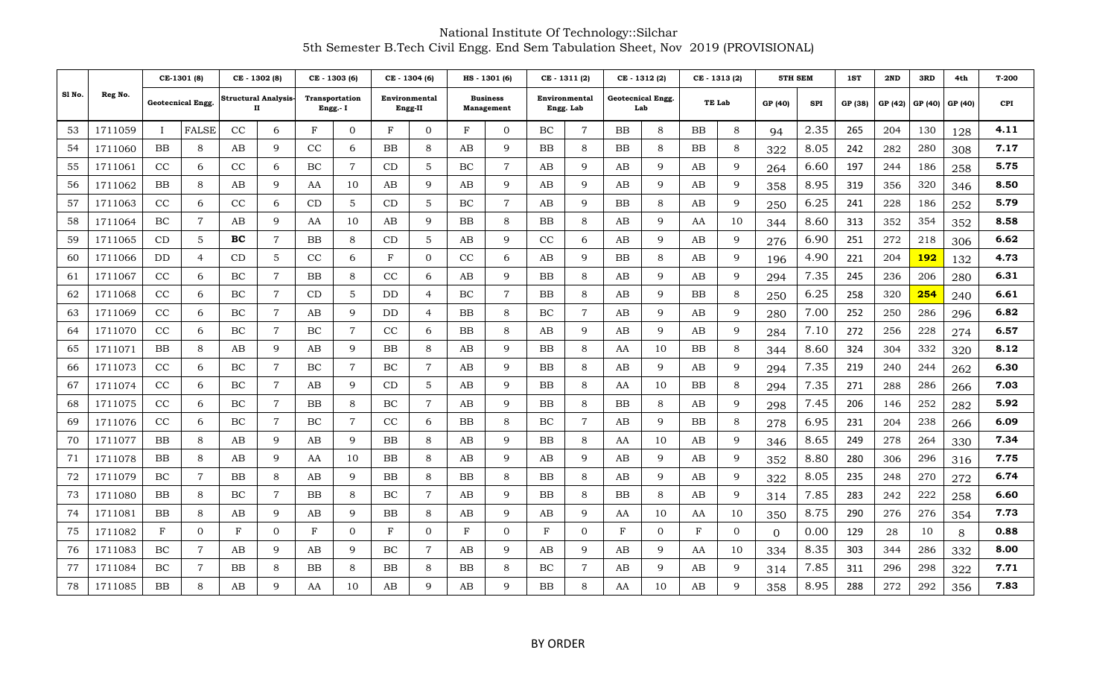|        |         |              | CE-1301 (8)              |                                  | CE - 1302 (8)  |                                   | CE - 1303 (6)  |                          | CE - 1304 (6)  |                               | HS - 1301 (6)  | CE-1311(2)    |                |                                 | CE - 1312 (2)  | CE - 1313 (2) |                | 5TH SEM  |            | 1ST     | 2ND     | 3RD        | 4th     | T-200      |
|--------|---------|--------------|--------------------------|----------------------------------|----------------|-----------------------------------|----------------|--------------------------|----------------|-------------------------------|----------------|---------------|----------------|---------------------------------|----------------|---------------|----------------|----------|------------|---------|---------|------------|---------|------------|
| Sl No. | Reg No. |              | <b>Geotecnical Engg.</b> | <b>Structural Analysis-</b><br>п |                | <b>Transportation</b><br>Engg.- I |                | Environmental<br>Engg-II |                | <b>Business</b><br>Management |                | Environmental | Engg. Lab      | <b>Geotecnical Engg.</b><br>Lab |                | TE Lab        |                | GP (40)  | <b>SPI</b> | GP (38) | GP (42) | GP (40)    | GP (40) | <b>CPI</b> |
| 53     | 1711059 | $\mathbf{I}$ | <b>FALSE</b>             | CC                               | 6              | F                                 | $\Omega$       | F                        | $\Omega$       | F                             | $\overline{0}$ | BC            | $\overline{7}$ | <b>BB</b>                       | 8              | ΒB            | 8              | 94       | 2.35       | 265     | 204     | 130        | 128     | 4.11       |
| 54     | 1711060 | ΒB           | 8                        | AВ                               | 9              | cc                                | 6              | ΒB                       | 8              | AB                            | 9              | ΒB            | 8              | ΒB                              | 8              | ΒB            | 8              | 322      | 8.05       | 242     | 282     | 280        | 308     | 7.17       |
| 55     | 1711061 | CC           | 6                        | CC                               | 6              | BC                                | $\overline{7}$ | CD                       | 5              | BC                            | $\overline{7}$ | AB            | 9              | AB                              | 9              | AВ            | 9              | 264      | 6.60       | 197     | 244     | 186        | 258     | 5.75       |
| 56     | 1711062 | BB           | 8                        | AB                               | 9              | AA                                | 10             | AB                       | 9              | AB                            | 9              | AB            | 9              | AB                              | 9              | AB            | 9              | 358      | 8.95       | 319     | 356     | 320        | 346     | 8.50       |
| 57     | 1711063 | CC           | 6                        | CC                               | 6              | CD                                | 5              | CD                       | 5              | ВC                            | 7              | AB            | 9              | BB                              | 8              | AВ            | 9              | 250      | 6.25       | 241     | 228     | 186        | 252     | 5.79       |
| 58     | 1711064 | BC           | $\overline{7}$           | AB                               | 9              | AA                                | 10             | AВ                       | 9              | BB                            | 8              | $_{\rm BB}$   | 8              | AB                              | 9              | AA            | 10             | 344      | 8.60       | 313     | 352     | 354        | 352     | 8.58       |
| 59     | 1711065 | CD           | 5                        | вc                               | $\overline{7}$ | <b>BB</b>                         | 8              | CD                       | 5              | AB                            | 9              | CC            | 6              | AB                              | 9              | AВ            | 9              | 276      | 6.90       | 251     | 272     | 218        | 306     | 6.62       |
| 60     | 1711066 | DD           | 4                        | CD                               | 5              | CC                                | 6              | F                        | $\mathbf{0}$   | CC                            | 6              | AB            | 9              | BB                              | 8              | AВ            | 9              | 196      | 4.90       | 221     | 204     | 192        | 132     | 4.73       |
| 61     | 1711067 | CC           | 6                        | BC                               | $\overline{7}$ | BB                                | 8              | CC                       | 6              | AB                            | 9              | BB            | 8              | AB                              | 9              | AB            | 9              | 294      | 7.35       | 245     | 236     | 206        | 280     | 6.31       |
| 62     | 1711068 | CC           | 6                        | BC                               | 7              | CD                                | 5              | DD                       | 4              | ВC                            | 7              | BB            | 8              | AB                              | 9              | ΒB            | 8              | 250      | 6.25       | 258     | 320     | <b>254</b> | 240     | 6.61       |
| 63     | 1711069 | CC           | 6                        | BC                               | $\overline{7}$ | AB                                | 9              | DD                       | $\overline{4}$ | BB                            | 8              | BC            | $\overline{7}$ | AB                              | 9              | AB            | 9              | 280      | 7.00       | 252     | 250     | 286        | 296     | 6.82       |
| 64     | 1711070 | CC           | 6                        | BC                               | 7              | BC                                | 7              | CC                       | 6              | BB                            | 8              | AB            | 9              | AB                              | 9              | AB            | 9              | 284      | 7.10       | 272     | 256     | 228        | 274     | 6.57       |
| 65     | 1711071 | <b>BB</b>    | 8                        | AB                               | 9              | AB                                | $\mathbf{Q}$   | BB                       | 8              | AB                            | 9              | BB            | 8              | AA                              | 10             | ΒB            | 8              | 344      | 8.60       | 324     | 304     | 332        | 320     | 8.12       |
| 66     | 1711073 | CC           | 6                        | BC                               | $\overline{7}$ | BC                                | 7              | BC                       | $\overline{7}$ | AB                            | 9              | BB            | 8              | AB                              | 9              | AВ            | 9              | 294      | 7.35       | 219     | 240     | 244        | 262     | 6.30       |
| 67     | 1711074 | CC           | 6                        | BC                               | 7              | AB                                | 9              | CD                       | 5              | AB                            | 9              | ΒB            | 8              | AA                              | 10             | ΒB            | 8              | 294      | 7.35       | 271     | 288     | 286        | 266     | 7.03       |
| 68     | 1711075 | CC           | 6                        | BC                               | $\overline{7}$ | BB                                | 8              | ВC                       | $\overline{7}$ | AВ                            | 9              | BB            | 8              | ΒB                              | 8              | AВ            | 9              | 298      | 7.45       | 206     | 146     | 252        | 282     | 5.92       |
| 69     | 1711076 | CC           | 6                        | BC                               | $\overline{7}$ | BC                                | $\overline{7}$ | CC                       | 6              | ΒB                            | 8              | BC            | $\overline{7}$ | AB                              | 9              | BB            | 8              | 278      | 6.95       | 231     | 204     | 238        | 266     | 6.09       |
| 70     | 1711077 | ΒB           | 8                        | AB                               | 9              | AB                                | 9              | ΒB                       | 8              | AB                            | 9              | BB            | 8              | AA                              | 10             | AВ            | 9              | 346      | 8.65       | 249     | 278     | 264        | 330     | 7.34       |
| 71     | 1711078 | BB           | 8                        | AB                               | 9              | AA                                | 10             | ΒB                       | 8              | AB                            | 9              | AB            | 9              | AB                              | 9              | AВ            | 9              | 352      | 8.80       | 280     | 306     | 296        | 316     | 7.75       |
| 72     | 1711079 | BC           | $\overline{7}$           | BB                               | 8              | AB                                | 9              | ΒB                       | 8              | BB                            | 8              | BB            | 8              | AB                              | 9              | AB            | 9              | 322      | 8.05       | 235     | 248     | 270        | 272     | 6.74       |
| 73     | 1711080 | ΒB           | 8                        | BC                               | 7              | BB                                | 8              | ВC                       | 7              | AB                            | 9              | BB            | 8              | ΒB                              | 8              | AВ            | 9              | 314      | 7.85       | 283     | 242     | 222        | 258     | 6.60       |
| 74     | 1711081 | ΒB           | 8                        | AB                               | 9              | AB                                | $\mathbf{Q}$   | BB                       | 8              | AB                            | 9              | AB            | 9              | AA                              | 10             | AA            | 10             | 350      | 8.75       | 290     | 276     | 276        | 354     | 7.73       |
| 75     | 1711082 | $_{\rm F}$   | $\overline{0}$           | F                                | $\overline{0}$ | F                                 | $\mathbf{0}$   | F                        | $\mathbf{0}$   | F                             | $\overline{0}$ | F             | $\overline{0}$ | F                               | $\overline{0}$ | F             | $\overline{0}$ | $\Omega$ | 0.00       | 129     | 28      | 10         | 8       | 0.88       |
| 76     | 1711083 | BC.          | $\overline{7}$           | AB                               | 9              | AB                                | $\mathbf Q$    | ВC                       | $\overline{7}$ | AB                            | 9              | AB            | 9              | AB                              | 9              | AA            | 10             | 334      | 8.35       | 303     | 344     | 286        | 332     | 8.00       |
| 77     | 1711084 | BC           | $\overline{7}$           | BB                               | 8              | BB.                               | 8              | ΒB                       | 8              | ΒB                            | 8              | BC            | $\overline{7}$ | AB                              | 9              | AВ            | 9              | 314      | 7.85       | 311     | 296     | 298        | 322     | 7.71       |
| 78     | 1711085 | BB           | 8                        | AB                               | 9              | AA                                | 10             | AВ                       | 9              | AB                            | 9              | BB            | 8              | AA                              | 10             | AВ            | 9              | 358      | 8.95       | 288     | 272     | 292        | 356     | 7.83       |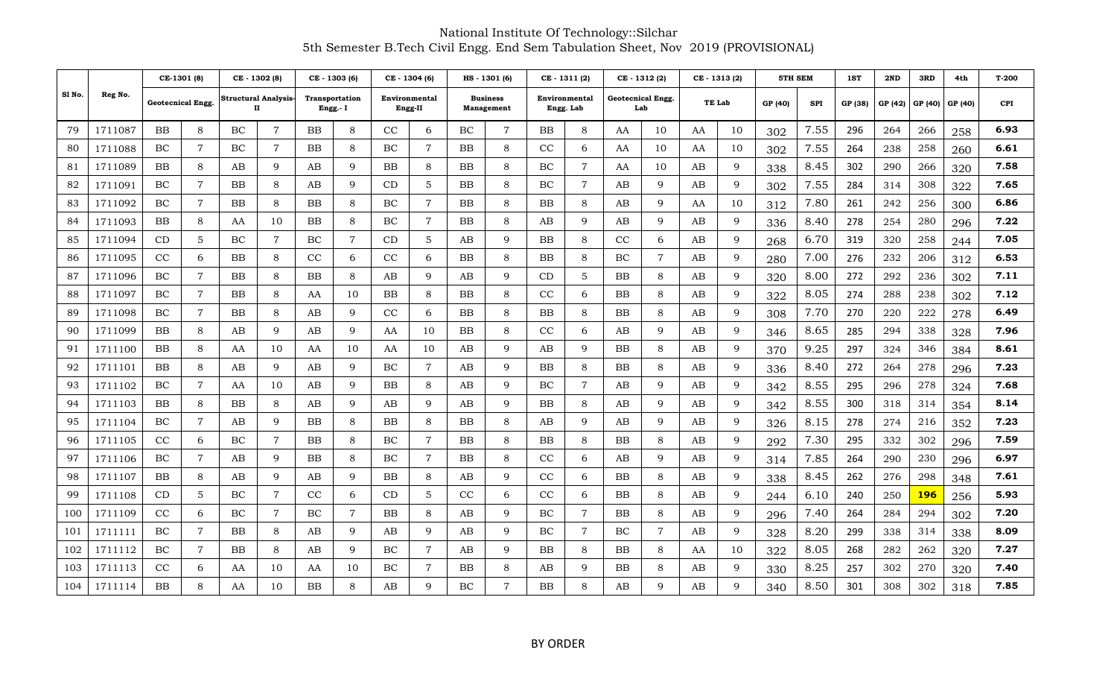|        |         | CE-1301 (8) |                   | CE - 1302 (8) |                           | CE - 1303 (6) |                                   | CE - 1304 (6) |                          | HS-1301(6)  |                                      | CE-1311(2)  |                            | CE - 1312 (2)                   |                | CE - 1313 (2) |    | 5TH SEM |            | 1ST     | 2ND     | 3RD         | 4th     | T-200      |
|--------|---------|-------------|-------------------|---------------|---------------------------|---------------|-----------------------------------|---------------|--------------------------|-------------|--------------------------------------|-------------|----------------------------|---------------------------------|----------------|---------------|----|---------|------------|---------|---------|-------------|---------|------------|
| Sl No. | Reg No. |             | Geotecnical Engg. |               | Structural Analysis-<br>п |               | <b>Transportation</b><br>Engg.- I |               | Environmental<br>Engg-II |             | <b>Business</b><br><b>Management</b> |             | Environmental<br>Engg. Lab | <b>Geotecnical Engg.</b><br>Lab |                | TE Lab        |    | GP (40) | <b>SPI</b> | GP (38) | GP (42) | GP (40)     | GP (40) | <b>CPI</b> |
| 79     | 1711087 | BB          | 8                 | BC            | 7                         | <b>BB</b>     | 8                                 | CC            | 6                        | BC          | $\overline{7}$                       | <b>BB</b>   | 8                          | AA                              | 10             | AA            | 10 | 302     | 7.55       | 296     | 264     | 266         | 258     | 6.93       |
| 80     | 1711088 | ВC          | 7                 | BC            | 7                         | BB            | 8                                 | ВC            | 7                        | ΒB          | 8                                    | CC          | 6                          | AA                              | 10             | AA            | 10 | 302     | 7.55       | 264     | 238     | 258         | 260     | 6.61       |
| 81     | 1711089 | ΒB          | 8                 | AB            | 9                         | AB            | q                                 | BB            | 8                        | ΒB          | 8                                    | BC          | $\overline{7}$             | AA                              | 10             | AВ            | 9  | 338     | 8.45       | 302     | 290     | 266         | 320     | 7.58       |
| 82     | 1711091 | BC.         | $\mathbf 7$       | BB            | 8                         | AB            | 9                                 | CD            | 5                        | BB          | 8                                    | BC          | $\overline{7}$             | AB                              | 9              | AВ            | 9  | 302     | 7.55       | 284     | 314     | 308         | 322     | 7.65       |
| 83     | 1711092 | ВC          | $\overline{7}$    | BB            | 8                         | BB            | 8                                 | ВC            | $\overline{7}$           | ΒB          | 8                                    | BB          | 8                          | AB                              | 9              | AA            | 10 | 312     | 7.80       | 261     | 242     | 256         | 300     | 6.86       |
| 84     | 1711093 | BB          | 8                 | AA            | 10                        | BB            | 8                                 | ВC            | $\overline{7}$           | BB          | 8                                    | AB          | 9                          | AB                              | 9              | AB            | 9  | 336     | 8.40       | 278     | 254     | 280         | 296     | 7.22       |
| 85     | 1711094 | CD          | 5                 | BC            | 7                         | BC            | 7                                 | CD            | 5                        | AB          | 9                                    | BB          | 8                          | CC                              | 6              | AВ            | 9  | 268     | 6.70       | 319     | 320     | 258         | 244     | 7.05       |
| 86     | 1711095 | CC          | 6                 | <b>BB</b>     | 8                         | CC            | 6                                 | CC            | 6                        | ΒB          | 8                                    | BB          | 8                          | BC                              | $\overline{7}$ | AB            | 9  | 280     | 7.00       | 276     | 232     | 206         | 312     | 6.53       |
| 87     | 1711096 | ВC          | $7\phantom{.}$    | BB            | 8                         | BB            | 8                                 | AВ            | 9                        | AB          | 9                                    | <b>CD</b>   | 5                          | ΒB                              | 8              | AВ            | 9  | 320     | 8.00       | 272     | 292     | 236         | 302     | 7.11       |
| 88     | 1711097 | ВC          | $\overline{7}$    | BB            | 8                         | AA            | 10                                | ΒB            | 8                        | BB          | 8                                    | CC          | 6                          | ΒB                              | 8              | AВ            | 9  | 322     | 8.05       | 274     | 288     | 238         | 302     | 7.12       |
| 89     | 1711098 | BC          | $\overline{7}$    | <b>BB</b>     | 8                         | AB            | $\mathbf{Q}$                      | CC            | 6                        | BB          | 8                                    | <b>BB</b>   | 8                          | <b>BB</b>                       | 8              | AB            | 9  | 308     | 7.70       | 270     | 220     | 222         | 278     | 6.49       |
| 90     | 1711099 | ΒB          | 8                 | AB            | 9                         | AB            | q                                 | AA            | 10                       | BB          | 8                                    | $_{\rm CC}$ | 6                          | AB                              | 9              | AВ            | 9  | 346     | 8.65       | 285     | 294     | 338         | 328     | 7.96       |
| 91     | 1711100 | BB          | 8                 | AA            | 10                        | AA            | 10                                | AA            | 10                       | AB          | $\mathbf{Q}$                         | AB          | 9                          | BB                              | 8              | AB            | 9  | 370     | 9.25       | 297     | 324     | 346         | 384     | 8.61       |
| 92     | 1711101 | BB          | 8                 | AB            | 9                         | AB            | 9                                 | BC            | 7                        | AB          | 9                                    | BB          | 8                          | BB                              | 8              | AВ            | 9  | 336     | 8.40       | 272     | 264     | 278         | 296     | 7.23       |
| 93     | 1711102 | BC          | $\overline{7}$    | AA            | 10                        | AB            | 9                                 | ΒB            | 8                        | AΒ          | 9                                    | BC          | $\overline{7}$             | AB                              | 9              | AВ            | 9  | 342     | 8.55       | 295     | 296     | 278         | 324     | 7.68       |
| 94     | 1711103 | BB          | 8                 | BB            | 8                         | AB            | 9                                 | AВ            | 9                        | AB          | 9                                    | BB          | 8                          | AB                              | 9              | AВ            | 9  | 342     | 8.55       | 300     | 318     | 314         | 354     | 8.14       |
| 95     | 1711104 | BC          | $\overline{7}$    | AВ            | 9                         | <b>BB</b>     | 8                                 | ΒB            | 8                        | ΒB          | 8                                    | AB          | 9                          | AB                              | 9              | AВ            | 9  | 326     | 8.15       | 278     | 274     | 216         | 352     | 7.23       |
| 96     | 1711105 | CC          | 6                 | BC            | $\overline{7}$            | BB            | 8                                 | ВC            | $\overline{7}$           | BB          | 8                                    | BB          | 8                          | ΒB                              | 8              | AB            | 9  | 292     | 7.30       | 295     | 332     | 302         | 296     | 7.59       |
| 97     | 1711106 | BC.         | $\overline{7}$    | AВ            | 9                         | BB            | 8                                 | ВC            | $\overline{7}$           | BB          | 8                                    | CC          | 6                          | AB                              | 9              | AВ            | 9  | 314     | 7.85       | 264     | 290     | 230         | 296     | 6.97       |
| 98     | 1711107 | ΒB          | 8                 | AB            | 9                         | AB            | 9                                 | BB            | 8                        | AB          | 9                                    | CC          | 6                          | <b>BB</b>                       | 8              | AВ            | 9  | 338     | 8.45       | 262     | 276     | 298         | 348     | 7.61       |
| 99     | 1711108 | CD          | 5                 | BC            | 7                         | CC            | 6                                 | CD            | 5                        | $_{\rm CC}$ | 6                                    | CC          | 6                          | BB                              | 8              | AВ            | 9  | 244     | 6.10       | 240     | 250     | <u> 196</u> | 256     | 5.93       |
| 100    | 1711109 | CC          | 6                 | BC            | $\overline{7}$            | BC            | 7                                 | BB            | 8                        | AВ          | 9                                    | BC          | $\overline{7}$             | ΒB                              | 8              | AВ            | 9  | 296     | 7.40       | 264     | 284     | 294         | 302     | 7.20       |
| 101    | 1711111 | BC          | $\overline{7}$    | BB            | 8                         | AВ            | q                                 | AВ            | 9                        | AВ          | 9                                    | BC          | $\overline{7}$             | BC                              | $\overline{7}$ | AB            | 9  | 328     | 8.20       | 299     | 338     | 314         | 338     | 8.09       |
| 102    | 1711112 | BC          | $\overline{7}$    | BB            | 8                         | AB            | 9                                 | ВC            | $\overline{7}$           | AB          | 9                                    | BB          | 8                          | ΒB                              | 8              | AA            | 10 | 322     | 8.05       | 268     | 282     | 262         | 320     | 7.27       |
| 103    | 1711113 | CC          | 6                 | AA            | 10                        | AA            | 10                                | ВC            | $\overline{7}$           | BB          | 8                                    | AВ          | 9                          | ΒB                              | 8              | AB            | 9  | 330     | 8.25       | 257     | 302     | 270         | 320     | 7.40       |
| 104    | 1711114 | ΒB          | 8                 | AA            | 10                        | ΒB            | 8                                 | AВ            | 9                        | BC          | 7                                    | $_{\rm BB}$ | 8                          | AB                              | 9              | AВ            | 9  | 340     | 8.50       | 301     | 308     | 302         | 318     | 7.85       |